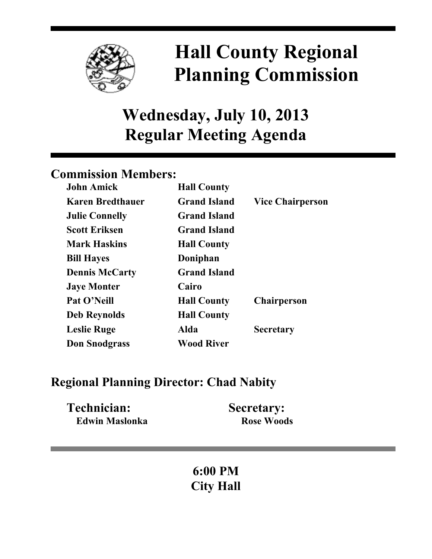

# **Hall County Regional Planning Commission**

## **Wednesday, July 10, 2013 Regular Meeting Agenda**

### **Commission Members:**

| <b>John Amick</b>       | <b>Hall County</b>  |                         |
|-------------------------|---------------------|-------------------------|
| <b>Karen Bredthauer</b> | <b>Grand Island</b> | <b>Vice Chairperson</b> |
| <b>Julie Connelly</b>   | <b>Grand Island</b> |                         |
| <b>Scott Eriksen</b>    | <b>Grand Island</b> |                         |
| <b>Mark Haskins</b>     | <b>Hall County</b>  |                         |
| <b>Bill Hayes</b>       | Doniphan            |                         |
| <b>Dennis McCarty</b>   | <b>Grand Island</b> |                         |
| <b>Jaye Monter</b>      | Cairo               |                         |
| Pat O'Neill             | <b>Hall County</b>  | <b>Chairperson</b>      |
| <b>Deb Reynolds</b>     | <b>Hall County</b>  |                         |
| <b>Leslie Ruge</b>      | Alda                | <b>Secretary</b>        |
| <b>Don Snodgrass</b>    | <b>Wood River</b>   |                         |

## **Regional Planning Director: Chad Nabity**

| Technician:    | <b>Secretary:</b> |
|----------------|-------------------|
| Edwin Maslonka | <b>Rose Woods</b> |

## **6:00 PM City Hall**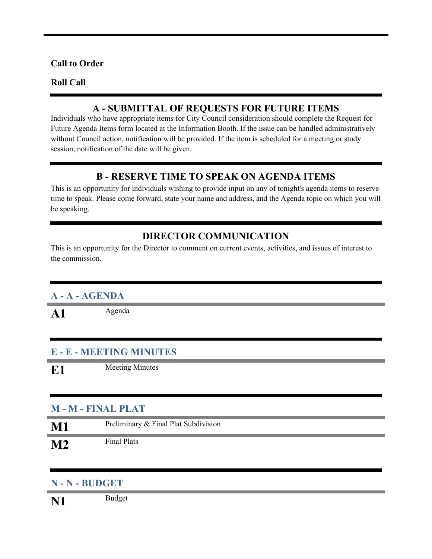#### **Call to Order**

#### **Roll Call**

#### **A - SUBMITTAL OF REQUESTS FOR FUTURE ITEMS**

Individuals who have appropriate items for City Council consideration should complete the Request for Future Agenda Items form located at the Information Booth. If the issue can be handled administratively without Council action, notification will be provided. If the item is scheduled for a meeting or study session, notification of the date will be given.

#### **B - RESERVE TIME TO SPEAK ON AGENDA ITEMS**

This is an opportunity for individuals wishing to provide input on any of tonight's agenda items to reserve time to speak. Please come forward, state your name and address, and the Agenda topic on which you will be speaking.

#### **DIRECTOR COMMUNICATION**

This is an opportunity for the Director to comment on current events, activities, and issues of interest to the commission.

#### **A - A - AGENDA**

A1 Agenda

#### **E - E - MEETING MINUTES**

**E1** Meeting Minutes

#### **M - M - FINAL PLAT**

| $\bf M1$ | Preliminary & Final Plat Subdivision |
|----------|--------------------------------------|
| $\bf M2$ | Final Plats                          |

#### **N - N - BUDGET**

**N1** Budget